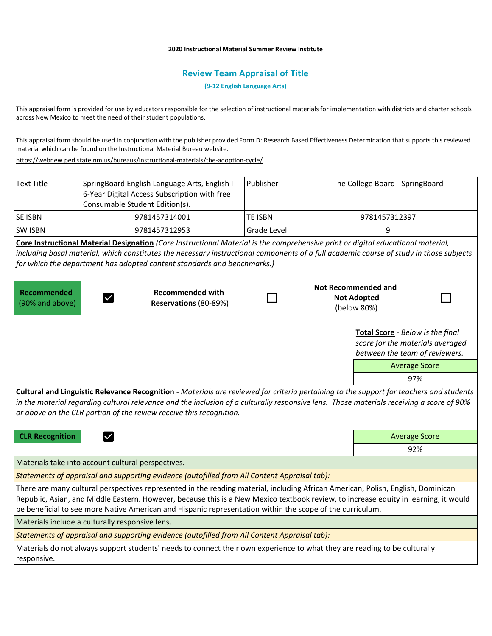## **2020 Instructional Material Summer Review Institute**

## **Review Team Appraisal of Title**

**(9-12 English Language Arts)**

This appraisal form is provided for use by educators responsible for the selection of instructional materials for implementation with districts and charter schools across New Mexico to meet the need of their student populations.

This appraisal form should be used in conjunction with the publisher provided Form D: Research Based Effectiveness Determination that supports this reviewed material which can be found on the Instructional Material Bureau website.

<https://webnew.ped.state.nm.us/bureaus/instructional-materials/the-adoption-cycle/>

| <b>Text Title</b>              | SpringBoard English Language Arts, English I -<br>6-Year Digital Access Subscription with free<br>Consumable Student Edition(s).                                                                                                                                                                                                                                                      | Publisher          |     | The College Board - SpringBoard                                                                        |  |
|--------------------------------|---------------------------------------------------------------------------------------------------------------------------------------------------------------------------------------------------------------------------------------------------------------------------------------------------------------------------------------------------------------------------------------|--------------------|-----|--------------------------------------------------------------------------------------------------------|--|
| <b>SE ISBN</b>                 | 9781457314001                                                                                                                                                                                                                                                                                                                                                                         | <b>TE ISBN</b>     |     | 9781457312397                                                                                          |  |
| <b>SW ISBN</b>                 | 9781457312953                                                                                                                                                                                                                                                                                                                                                                         | <b>Grade Level</b> |     | 9                                                                                                      |  |
|                                | Core Instructional Material Designation (Core Instructional Material is the comprehensive print or digital educational material,<br>including basal material, which constitutes the necessary instructional components of a full academic course of study in those subjects<br>for which the department has adopted content standards and benchmarks.)                                |                    |     |                                                                                                        |  |
| Recommended<br>(90% and above) | <b>Recommended with</b><br>Reservations (80-89%)                                                                                                                                                                                                                                                                                                                                      |                    |     | <b>Not Recommended and</b><br><b>Not Adopted</b><br>(below 80%)                                        |  |
|                                |                                                                                                                                                                                                                                                                                                                                                                                       |                    |     | Total Score - Below is the final<br>score for the materials averaged<br>between the team of reviewers. |  |
|                                |                                                                                                                                                                                                                                                                                                                                                                                       |                    |     | <b>Average Score</b>                                                                                   |  |
|                                |                                                                                                                                                                                                                                                                                                                                                                                       |                    |     | 97%                                                                                                    |  |
|                                | Cultural and Linguistic Relevance Recognition - Materials are reviewed for criteria pertaining to the support for teachers and students<br>in the material regarding cultural relevance and the inclusion of a culturally responsive lens. Those materials receiving a score of 90%<br>or above on the CLR portion of the review receive this recognition.                            |                    |     |                                                                                                        |  |
| <b>CLR Recognition</b>         |                                                                                                                                                                                                                                                                                                                                                                                       |                    |     | <b>Average Score</b>                                                                                   |  |
|                                |                                                                                                                                                                                                                                                                                                                                                                                       |                    | 92% |                                                                                                        |  |
|                                | Materials take into account cultural perspectives.                                                                                                                                                                                                                                                                                                                                    |                    |     |                                                                                                        |  |
|                                | Statements of appraisal and supporting evidence (autofilled from All Content Appraisal tab):                                                                                                                                                                                                                                                                                          |                    |     |                                                                                                        |  |
|                                | There are many cultural perspectives represented in the reading material, including African American, Polish, English, Dominican<br>Republic, Asian, and Middle Eastern. However, because this is a New Mexico textbook review, to increase equity in learning, it would<br>be beneficial to see more Native American and Hispanic representation within the scope of the curriculum. |                    |     |                                                                                                        |  |
|                                | Materials include a culturally responsive lens.                                                                                                                                                                                                                                                                                                                                       |                    |     |                                                                                                        |  |
|                                | Statements of appraisal and supporting evidence (autofilled from All Content Appraisal tab):                                                                                                                                                                                                                                                                                          |                    |     |                                                                                                        |  |
| responsive.                    | Materials do not always support students' needs to connect their own experience to what they are reading to be culturally                                                                                                                                                                                                                                                             |                    |     |                                                                                                        |  |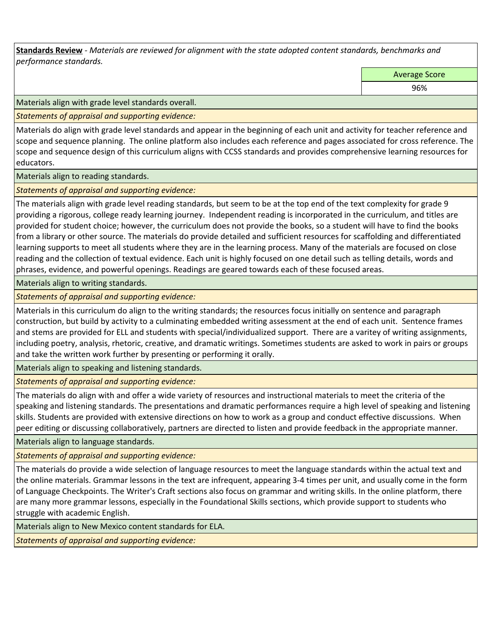**Standards Review** *- Materials are reviewed for alignment with the state adopted content standards, benchmarks and performance standards.*

Average Score

96%

Materials align with grade level standards overall.

*Statements of appraisal and supporting evidence:* 

Materials do align with grade level standards and appear in the beginning of each unit and activity for teacher reference and scope and sequence planning. The online platform also includes each reference and pages associated for cross reference. The scope and sequence design of this curriculum aligns with CCSS standards and provides comprehensive learning resources for educators.

Materials align to reading standards.

*Statements of appraisal and supporting evidence:* 

The materials align with grade level reading standards, but seem to be at the top end of the text complexity for grade 9 providing a rigorous, college ready learning journey. Independent reading is incorporated in the curriculum, and titles are provided for student choice; however, the curriculum does not provide the books, so a student will have to find the books from a library or other source. The materials do provide detailed and sufficient resources for scaffolding and differentiated learning supports to meet all students where they are in the learning process. Many of the materials are focused on close reading and the collection of textual evidence. Each unit is highly focused on one detail such as telling details, words and phrases, evidence, and powerful openings. Readings are geared towards each of these focused areas.

Materials align to writing standards.

*Statements of appraisal and supporting evidence:* 

Materials in this curriculum do align to the writing standards; the resources focus initially on sentence and paragraph construction, but build by activity to a culminating embedded writing assessment at the end of each unit. Sentence frames and stems are provided for ELL and students with special/individualized support. There are a varitey of writing assignments, including poetry, analysis, rhetoric, creative, and dramatic writings. Sometimes students are asked to work in pairs or groups and take the written work further by presenting or performing it orally.

Materials align to speaking and listening standards.

*Statements of appraisal and supporting evidence:* 

The materials do align with and offer a wide variety of resources and instructional materials to meet the criteria of the speaking and listening standards. The presentations and dramatic performances require a high level of speaking and listening skills. Students are provided with extensive directions on how to work as a group and conduct effective discussions. When peer editing or discussing collaboratively, partners are directed to listen and provide feedback in the appropriate manner.

Materials align to language standards.

*Statements of appraisal and supporting evidence:* 

The materials do provide a wide selection of language resources to meet the language standards within the actual text and the online materials. Grammar lessons in the text are infrequent, appearing 3-4 times per unit, and usually come in the form of Language Checkpoints. The Writer's Craft sections also focus on grammar and writing skills. In the online platform, there are many more grammar lessons, especially in the Foundational Skills sections, which provide support to students who struggle with academic English.

Materials align to New Mexico content standards for ELA.

*Statements of appraisal and supporting evidence:*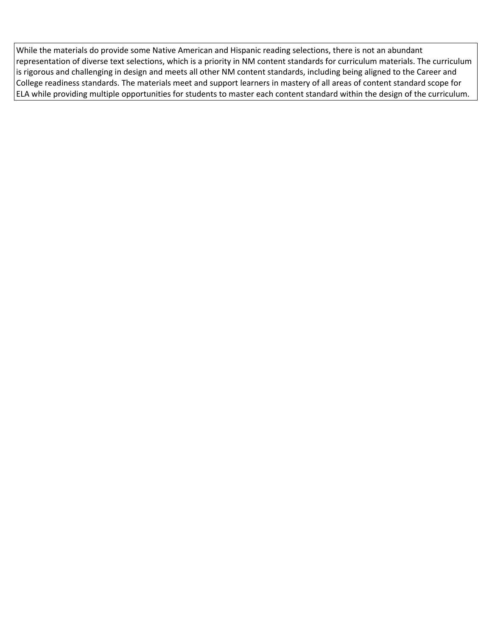While the materials do provide some Native American and Hispanic reading selections, there is not an abundant representation of diverse text selections, which is a priority in NM content standards for curriculum materials. The curriculum is rigorous and challenging in design and meets all other NM content standards, including being aligned to the Career and College readiness standards. The materials meet and support learners in mastery of all areas of content standard scope for ELA while providing multiple opportunities for students to master each content standard within the design of the curriculum.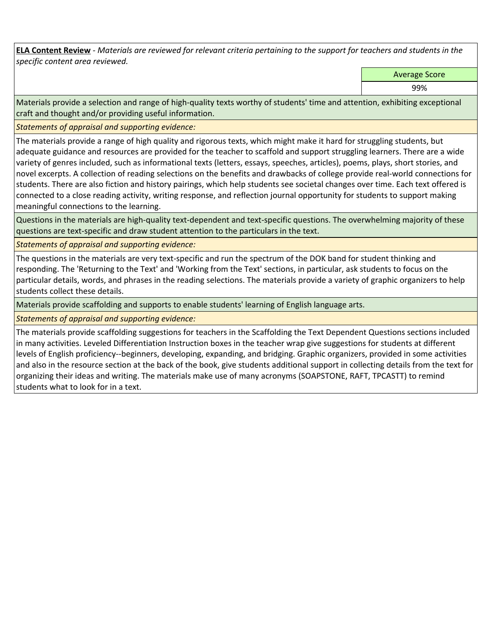**ELA Content Review** *- Materials are reviewed for relevant criteria pertaining to the support for teachers and students in the specific content area reviewed.*

Average Score

99%

Materials provide a selection and range of high-quality texts worthy of students' time and attention, exhibiting exceptional craft and thought and/or providing useful information.

*Statements of appraisal and supporting evidence:* 

The materials provide a range of high quality and rigorous texts, which might make it hard for struggling students, but adequate guidance and resources are provided for the teacher to scaffold and support struggling learners. There are a wide variety of genres included, such as informational texts (letters, essays, speeches, articles), poems, plays, short stories, and novel excerpts. A collection of reading selections on the benefits and drawbacks of college provide real-world connections for students. There are also fiction and history pairings, which help students see societal changes over time. Each text offered is connected to a close reading activity, writing response, and reflection journal opportunity for students to support making meaningful connections to the learning.

Questions in the materials are high-quality text-dependent and text-specific questions. The overwhelming majority of these questions are text-specific and draw student attention to the particulars in the text.

*Statements of appraisal and supporting evidence:* 

The questions in the materials are very text-specific and run the spectrum of the DOK band for student thinking and responding. The 'Returning to the Text' and 'Working from the Text' sections, in particular, ask students to focus on the particular details, words, and phrases in the reading selections. The materials provide a variety of graphic organizers to help students collect these details.

Materials provide scaffolding and supports to enable students' learning of English language arts.

*Statements of appraisal and supporting evidence:* 

The materials provide scaffolding suggestions for teachers in the Scaffolding the Text Dependent Questions sections included in many activities. Leveled Differentiation Instruction boxes in the teacher wrap give suggestions for students at different levels of English proficiency--beginners, developing, expanding, and bridging. Graphic organizers, provided in some activities and also in the resource section at the back of the book, give students additional support in collecting details from the text for organizing their ideas and writing. The materials make use of many acronyms (SOAPSTONE, RAFT, TPCASTT) to remind students what to look for in a text.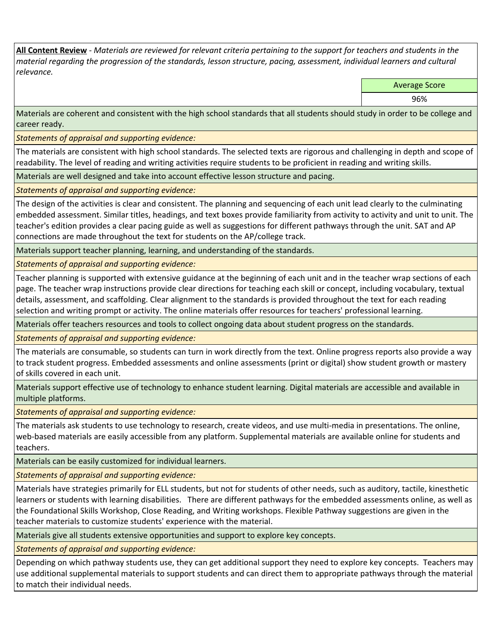**All Content Review** *- Materials are reviewed for relevant criteria pertaining to the support for teachers and students in the material regarding the progression of the standards, lesson structure, pacing, assessment, individual learners and cultural relevance.*

Average Score

96%

Materials are coherent and consistent with the high school standards that all students should study in order to be college and career ready.

*Statements of appraisal and supporting evidence:*

The materials are consistent with high school standards. The selected texts are rigorous and challenging in depth and scope of readability. The level of reading and writing activities require students to be proficient in reading and writing skills.

Materials are well designed and take into account effective lesson structure and pacing.

*Statements of appraisal and supporting evidence:*

The design of the activities is clear and consistent. The planning and sequencing of each unit lead clearly to the culminating embedded assessment. Similar titles, headings, and text boxes provide familiarity from activity to activity and unit to unit. The teacher's edition provides a clear pacing guide as well as suggestions for different pathways through the unit. SAT and AP connections are made throughout the text for students on the AP/college track.

Materials support teacher planning, learning, and understanding of the standards.

*Statements of appraisal and supporting evidence:*

Teacher planning is supported with extensive guidance at the beginning of each unit and in the teacher wrap sections of each page. The teacher wrap instructions provide clear directions for teaching each skill or concept, including vocabulary, textual details, assessment, and scaffolding. Clear alignment to the standards is provided throughout the text for each reading selection and writing prompt or activity. The online materials offer resources for teachers' professional learning.

Materials offer teachers resources and tools to collect ongoing data about student progress on the standards.

*Statements of appraisal and supporting evidence:*

The materials are consumable, so students can turn in work directly from the text. Online progress reports also provide a way to track student progress. Embedded assessments and online assessments (print or digital) show student growth or mastery of skills covered in each unit.

Materials support effective use of technology to enhance student learning. Digital materials are accessible and available in multiple platforms.

*Statements of appraisal and supporting evidence:*

The materials ask students to use technology to research, create videos, and use multi-media in presentations. The online, web-based materials are easily accessible from any platform. Supplemental materials are available online for students and teachers.

Materials can be easily customized for individual learners.

*Statements of appraisal and supporting evidence:* 

Materials have strategies primarily for ELL students, but not for students of other needs, such as auditory, tactile, kinesthetic learners or students with learning disabilities. There are different pathways for the embedded assessments online, as well as the Foundational Skills Workshop, Close Reading, and Writing workshops. Flexible Pathway suggestions are given in the teacher materials to customize students' experience with the material.

Materials give all students extensive opportunities and support to explore key concepts.

*Statements of appraisal and supporting evidence:*

Depending on which pathway students use, they can get additional support they need to explore key concepts. Teachers may use additional supplemental materials to support students and can direct them to appropriate pathways through the material to match their individual needs.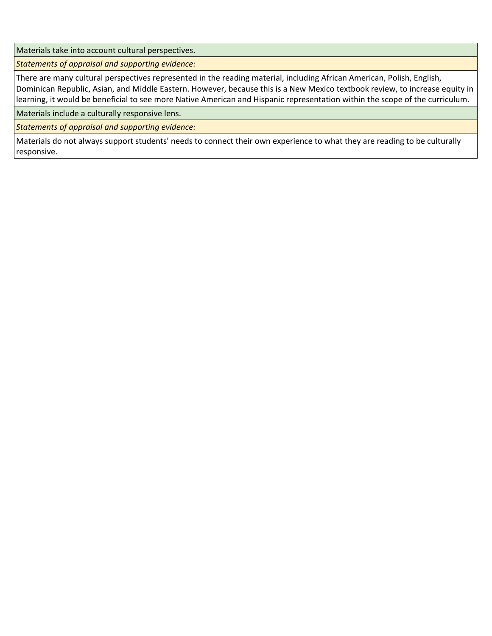Materials take into account cultural perspectives.

*Statements of appraisal and supporting evidence:*

There are many cultural perspectives represented in the reading material, including African American, Polish, English, Dominican Republic, Asian, and Middle Eastern. However, because this is a New Mexico textbook review, to increase equity in learning, it would be beneficial to see more Native American and Hispanic representation within the scope of the curriculum.

Materials include a culturally responsive lens.

*Statements of appraisal and supporting evidence:*

Materials do not always support students' needs to connect their own experience to what they are reading to be culturally responsive.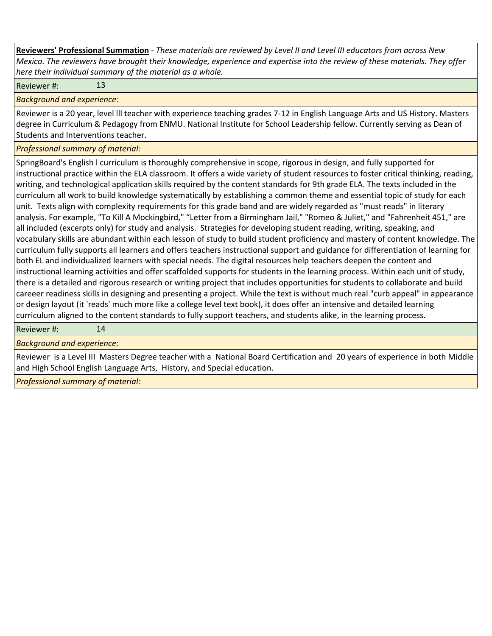**Reviewers' Professional Summation** *- These materials are reviewed by Level II and Level III educators from across New Mexico. The reviewers have brought their knowledge, experience and expertise into the review of these materials. They offer here their individual summary of the material as a whole.*

Reviewer #: 13

*Background and experience:*

Reviewer is a 20 year, level lll teacher with experience teaching grades 7-12 in English Language Arts and US History. Masters degree in Curriculum & Pedagogy from ENMU. National Institute for School Leadership fellow. Currently serving as Dean of Students and Interventions teacher.

*Professional summary of material:*

SpringBoard's English l curriculum is thoroughly comprehensive in scope, rigorous in design, and fully supported for instructional practice within the ELA classroom. It offers a wide variety of student resources to foster critical thinking, reading, writing, and technological application skills required by the content standards for 9th grade ELA. The texts included in the curriculum all work to build knowledge systematically by establishing a common theme and essential topic of study for each unit. Texts align with complexity requirements for this grade band and are widely regarded as "must reads" in literary analysis. For example, "To Kill A Mockingbird," "Letter from a Birmingham Jail," "Romeo & Juliet," and "Fahrenheit 451," are all included (excerpts only) for study and analysis. Strategies for developing student reading, writing, speaking, and vocabulary skills are abundant within each lesson of study to build student proficiency and mastery of content knowledge. The curriculum fully supports all learners and offers teachers instructional support and guidance for differentiation of learning for both EL and individualized learners with special needs. The digital resources help teachers deepen the content and instructional learning activities and offer scaffolded supports for students in the learning process. Within each unit of study, there is a detailed and rigorous research or writing project that includes opportunities for students to collaborate and build careeer readiness skills in designing and presenting a project. While the text is without much real "curb appeal" in appearance or design layout (it 'reads' much more like a college level text book), it does offer an intensive and detailed learning curriculum aligned to the content standards to fully support teachers, and students alike, in the learning process.

Reviewer #: 14

## *Background and experience:*

Reviewer is a Level III Masters Degree teacher with a National Board Certification and 20 years of experience in both Middle and High School English Language Arts, History, and Special education.

*Professional summary of material:*